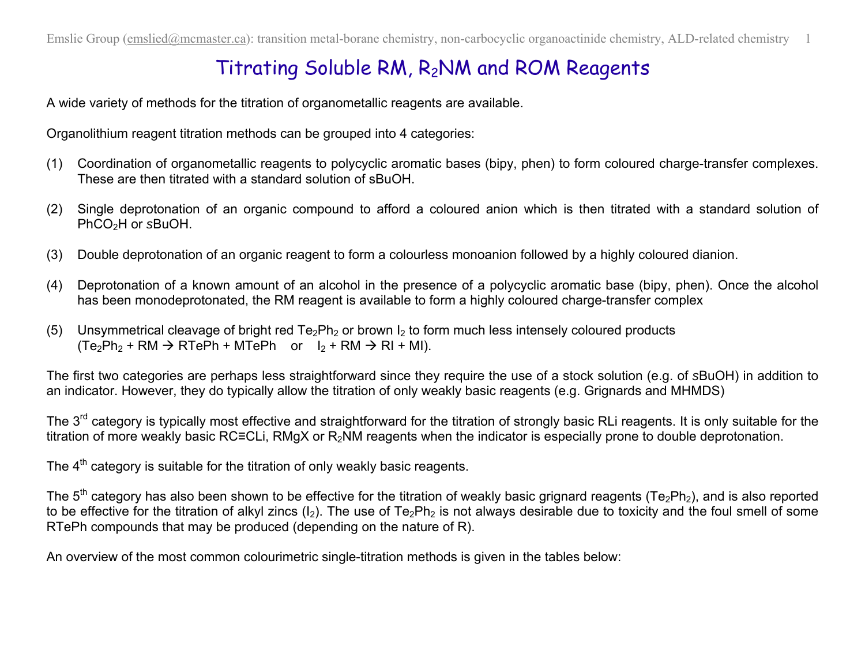## Titrating Soluble RM, R2NM and ROM Reagents

A wide variety of methods for the titration of organometallic reagents are available.

Organolithium reagent titration methods can be grouped into 4 categories:

- (1) Coordination of organometallic reagents to polycyclic aromatic bases (bipy, phen) to form coloured charge-transfer complexes. These are then titrated with a standard solution of sBuOH.
- (2) Single deprotonation of an organic compound to afford a coloured anion which is then titrated with a standard solution of PhCO2H or *s*BuOH.
- (3) Double deprotonation of an organic reagent to form a colourless monoanion followed by a highly coloured dianion.
- (4) Deprotonation of a known amount of an alcohol in the presence of a polycyclic aromatic base (bipy, phen). Once the alcohol has been monodeprotonated, the RM reagent is available to form a highly coloured charge-transfer complex
- (5) Unsymmetrical cleavage of bright red  $Te_2Ph_2$  or brown  $I_2$  to form much less intensely coloured products  $(Te_2Ph_2 + RM \rightarrow RTePh + MTePh$  or  $I_2 + RM \rightarrow RI + MI$ ).

The first two categories are perhaps less straightforward since they require the use of a stock solution (e.g. of *s*BuOH) in addition to an indicator. However, they do typically allow the titration of only weakly basic reagents (e.g. Grignards and MHMDS)

The 3<sup>rd</sup> category is typically most effective and straightforward for the titration of strongly basic RLi reagents. It is only suitable for the titration of more weakly basic RC≡CLi, RMgX or R<sub>2</sub>NM reagents when the indicator is especially prone to double deprotonation.

The  $4<sup>th</sup>$  category is suitable for the titration of only weakly basic reagents.

The  $5<sup>th</sup>$  category has also been shown to be effective for the titration of weakly basic grignard reagents (Te<sub>2</sub>Ph<sub>2</sub>), and is also reported to be effective for the titration of alkyl zincs ( $I_2$ ). The use of Te<sub>2</sub>Ph<sub>2</sub> is not always desirable due to toxicity and the foul smell of some RTePh compounds that may be produced (depending on the nature of R).

An overview of the most common colourimetric single-titration methods is given in the tables below: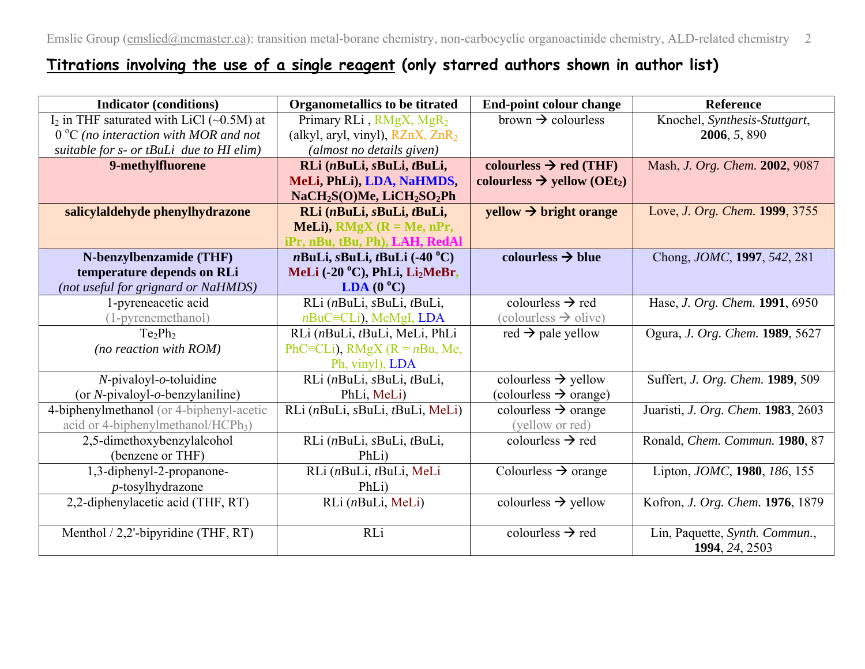## **Titrations involving the use of a single reagent (only starred authors shown in author list)**

| <b>Indicator (conditions)</b>                  | <b>Organometallics to be titrated</b>                          | End-point colour change                             | <b>Reference</b>                                 |
|------------------------------------------------|----------------------------------------------------------------|-----------------------------------------------------|--------------------------------------------------|
| $I_2$ in THF saturated with LiCl (~0.5M) at    | Primary RLi, RMgX, MgR <sub>2</sub>                            | brown $\rightarrow$ colourless                      | Knochel, Synthesis-Stuttgart,                    |
| $0^{\circ}$ C (no interaction with MOR and not | (alkyl, aryl, vinyl), $RZnX$ , $ZnR2$                          |                                                     | 2006, 5, 890                                     |
| suitable for s- or tBuLi due to HI elim)       | (almost no details given)                                      |                                                     |                                                  |
| 9-methylfluorene                               | RLi (nBuLi, sBuLi, tBuLi,                                      | colourless $\rightarrow$ red (THF)                  | Mash, J. Org. Chem. 2002, 9087                   |
|                                                | MeLi, PhLi), LDA, NaHMDS,                                      | colourless $\rightarrow$ yellow (OEt <sub>2</sub> ) |                                                  |
|                                                | NaCH <sub>2</sub> S(O)Me, LiCH <sub>2</sub> SO <sub>2</sub> Ph |                                                     |                                                  |
| salicylaldehyde phenylhydrazone                | RLi (nBuLi, sBuLi, tBuLi,                                      | $yellow \rightarrow bright \ orange$                | Love, J. Org. Chem. 1999, 3755                   |
|                                                | MeLi), $RMgX$ ( $R = Me$ , nPr,                                |                                                     |                                                  |
|                                                | iPr, nBu, tBu, Ph), LAH, RedAl                                 |                                                     |                                                  |
| N-benzylbenzamide (THF)                        | $n$ BuLi, $s$ BuLi, $t$ BuLi (-40 $^{\circ}$ C)                | colourless $\rightarrow$ blue                       | Chong, <i>JOMC</i> , <b>1997</b> , 542, 281      |
| temperature depends on RLi                     | MeLi (-20 °C), PhLi, Li <sub>2</sub> MeBr,                     |                                                     |                                                  |
| (not useful for grignard or NaHMDS)            | LDA $(0^{\circ}C)$                                             |                                                     |                                                  |
| 1-pyreneacetic acid                            | RLi (nBuLi, sBuLi, tBuLi,                                      | colourless $\rightarrow$ red                        | Hase, J. Org. Chem. 1991, 6950                   |
| (1-pyrenemethanol)                             | $n$ BuC $\equiv$ CLi), MeMgI, LDA                              | $\text{(colourless} \rightarrow \text{olive})$      |                                                  |
| $Te_2Ph_2$                                     | RLi (nBuLi, tBuLi, MeLi, PhLi                                  | red $\rightarrow$ pale yellow                       | Ogura, J. Org. Chem. 1989, 5627                  |
| (no reaction with $ROM$ )                      | PhC=CLi), RMgX ( $R = nBu$ , Me,                               |                                                     |                                                  |
|                                                | Ph, vinyl), LDA                                                |                                                     |                                                  |
| $N$ -pivaloyl- $o$ -toluidine                  | RLi (nBuLi, sBuLi, tBuLi,                                      | colourless $\rightarrow$ yellow                     | Suffert, J. Org. Chem. 1989, 509                 |
| (or N-pivaloyl-o-benzylaniline)                | PhLi, MeLi)                                                    | $\text{(colourless} \rightarrow \text{orange})$     |                                                  |
| 4-biphenylmethanol (or 4-biphenyl-acetic       | RLi (nBuLi, sBuLi, tBuLi, MeLi)                                | colourless $\rightarrow$ orange                     | Juaristi, J. Org. Chem. 1983, 2603               |
| acid or 4-biphenylmethanol/HCPh <sub>3</sub> ) |                                                                | (yellow or red)                                     |                                                  |
| 2,5-dimethoxybenzylalcohol                     | RLi (nBuLi, sBuLi, tBuLi,                                      | colourless $\rightarrow$ red                        | Ronald, Chem. Commun. 1980, 87                   |
| (benzene or THF)                               | PhLi)                                                          |                                                     |                                                  |
| 1,3-diphenyl-2-propanone-                      | RLi (nBuLi, tBuLi, MeLi                                        | Colourless $\rightarrow$ orange                     | Lipton, JOMC, 1980, 186, 155                     |
| p-tosylhydrazone                               | PhLi)                                                          |                                                     |                                                  |
| 2,2-diphenylacetic acid (THF, RT)              | RLi (nBuLi, MeLi)                                              | colourless $\rightarrow$ yellow                     | Kofron, J. Org. Chem. 1976, 1879                 |
|                                                |                                                                |                                                     |                                                  |
| Menthol $/ 2,2$ '-bipyridine (THF, RT)         | RLi                                                            | colourless $\rightarrow$ red                        | Lin, Paquette, Synth. Commun.,<br>1994, 24, 2503 |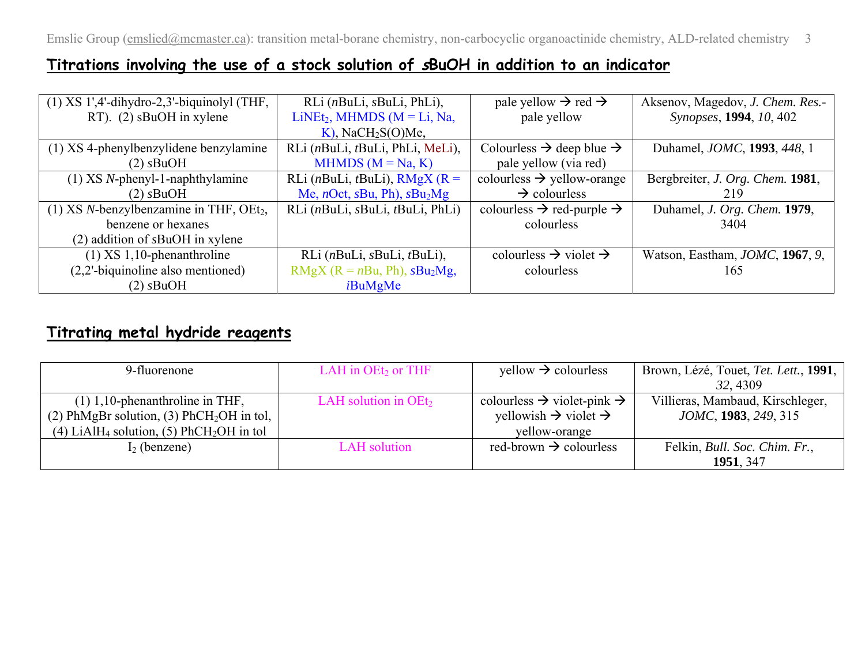## **Titrations involving the use of a stock solution of sBuOH in addition to an indicator**

| $(1)$ XS 1',4'-dihydro-2,3'-biquinolyl (THF,           | RLi (nBuLi, sBuLi, PhLi),                                        | pale yellow $\rightarrow$ red $\rightarrow$       | Aksenov, Magedov, J. Chem. Res.-            |
|--------------------------------------------------------|------------------------------------------------------------------|---------------------------------------------------|---------------------------------------------|
| RT). $(2)$ sBuOH in xylene                             | $LiNet2$ , MHMDS (M = Li, Na,                                    | pale yellow                                       | Synopses, 1994, 10, 402                     |
|                                                        | $K$ ), NaCH <sub>2</sub> S(O)Me,                                 |                                                   |                                             |
| (1) XS 4-phenylbenzylidene benzylamine                 | RLi (nBuLi, tBuLi, PhLi, MeLi),                                  | Colourless $\rightarrow$ deep blue $\rightarrow$  | Duhamel, <i>JOMC</i> , <b>1993</b> , 448, 1 |
| $(2)$ sBuOH                                            | MHMDS $(M = Na, K)$                                              | pale yellow (via red)                             |                                             |
| $(1)$ XS <i>N</i> -phenyl-1-naphthylamine              | RLi ( <i>n</i> BuLi, <i>t</i> BuLi), $RMgX$ ( $R =$              | colourless $\rightarrow$ yellow-orange            | Bergbreiter, J. Org. Chem. 1981,            |
| $(2)$ sBuOH                                            | Me, <i>n</i> Oct, <i>sBu</i> , <i>Ph</i> ), $sBu_2Mg$            | $\rightarrow$ colourless                          | 219                                         |
| (1) XS $N$ -benzylbenzamine in THF, OEt <sub>2</sub> , | RLi ( <i>n</i> BuLi, <i>sBuLi</i> , <i>tBuLi</i> , <i>PhLi</i> ) | colourless $\rightarrow$ red-purple $\rightarrow$ | Duhamel, J. Org. Chem. 1979,                |
| benzene or hexanes                                     |                                                                  | colourless                                        | 3404                                        |
| $(2)$ addition of $s$ BuOH in xylene                   |                                                                  |                                                   |                                             |
| $(1)$ XS 1,10-phenanthroline                           | RLi (nBuLi, sBuLi, tBuLi),                                       | colourless $\rightarrow$ violet $\rightarrow$     | Watson, Eastham, JOMC, 1967, 9,             |
| $(2,2)$ -biquinoline also mentioned)                   | RMgX ( $R = nBu$ , Ph), $sBu_2Mg$ ,                              | colourless                                        | 165                                         |
| $(2)$ sBuOH                                            | iBuMgMe                                                          |                                                   |                                             |

## **Titrating metal hydride reagents**

| 9-fluorenone                                                     | LAH in $OEt2$ or THF   | $yellow \rightarrow colourless$                    | Brown, Lézé, Touet, Tet. Lett., 1991, |
|------------------------------------------------------------------|------------------------|----------------------------------------------------|---------------------------------------|
|                                                                  |                        |                                                    | 32, 4309                              |
| $(1)$ 1,10-phenanthroline in THF,                                | LAH solution in $OEt2$ | colourless $\rightarrow$ violet-pink $\rightarrow$ | Villieras, Mambaud, Kirschleger,      |
| (2) PhMgBr solution, (3) PhCH <sub>2</sub> OH in tol,            |                        | yellowish $\rightarrow$ violet $\rightarrow$       | JOMC, 1983, 249, 315                  |
| (4) LiAlH <sub>4</sub> solution, (5) PhCH <sub>2</sub> OH in tol |                        | yellow-orange                                      |                                       |
| $I_2$ (benzene)                                                  | <b>LAH</b> solution    | red-brown $\rightarrow$ colourless                 | Felkin, <i>Bull. Soc. Chim. Fr.</i> , |
|                                                                  |                        |                                                    | 1951, 347                             |